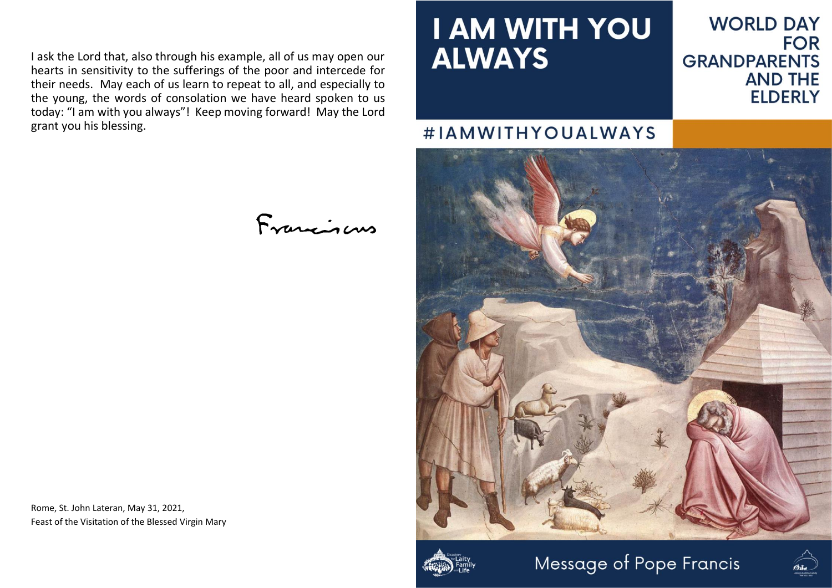I ask the Lord that, also through his example, all of us may open our hearts in sensitivity to the sufferings of the poor and intercede for their needs. May each of us learn to repeat to all, and especially to the young, the words of consolation we have heard spoken to us today: "I am with you always"! Keep moving forward! May the Lord grant you his blessing.

## **I AM WITH YOU ALWAYS**

## **WORLD DAY FOR GRANDPARENTS AND THE ELDERLY**

## #IAMWITHYOUALWAYS







Rome, St. John Lateran, May 31, 2021, Feast of the Visitation of the Blessed Virgin Mary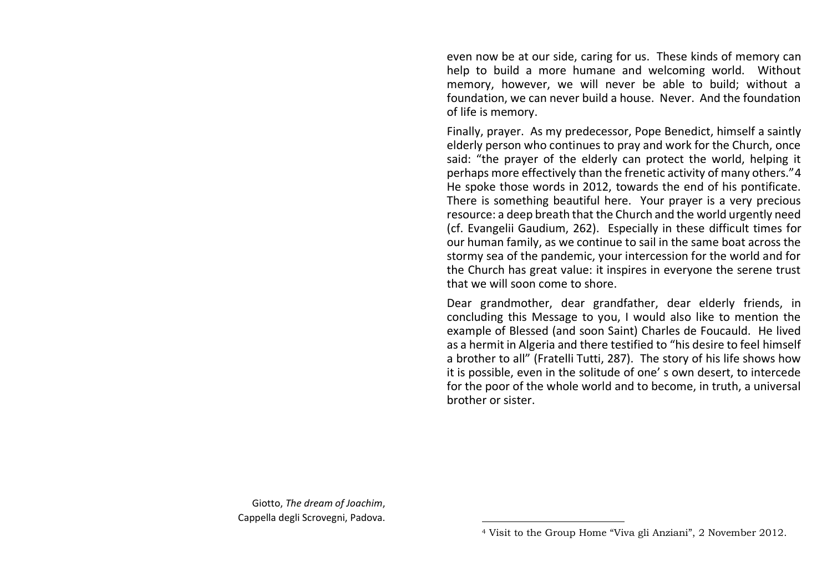even now be at our side, caring for us. These kinds of memory can help to build a more humane and welcoming world. Without memory, however, we will never be able to build; without a foundation, we can never build a house. Never. And the foundation of life is memory.

Finally, prayer. As my predecessor, Pope Benedict, himself a saintly elderly person who continues to pray and work for the Church, once said: "the prayer of the elderly can protect the world, helping it perhaps more effectively than the frenetic activity of many others."4 He spoke those words in 2012, towards the end of his pontificate. There is something beautiful here. Your prayer is a very precious resource: a deep breath that the Church and the world urgently need (cf. Evangelii Gaudium, 262). Especially in these difficult times for our human family, as we continue to sail in the same boat across the stormy sea of the pandemic, your intercession for the world and for the Church has great value: it inspires in everyone the serene trust that we will soon come to shore.

Dear grandmother, dear grandfather, dear elderly friends, in concluding this Message to you, I would also like to mention the example of Blessed (and soon Saint) Charles de Foucauld. He lived as a hermit in Algeria and there testified to "his desire to feel himself a brother to all" (Fratelli Tutti, 287). The story of his life shows how it is possible, even in the solitude of one' s own desert, to intercede for the poor of the whole world and to become, in truth, a universal brother or sister.

Giotto, *The dream of Joachim*, Cappella degli Scrovegni, Padova.

<sup>4</sup> Visit to the Group Home "Viva gli Anziani", 2 November 2012.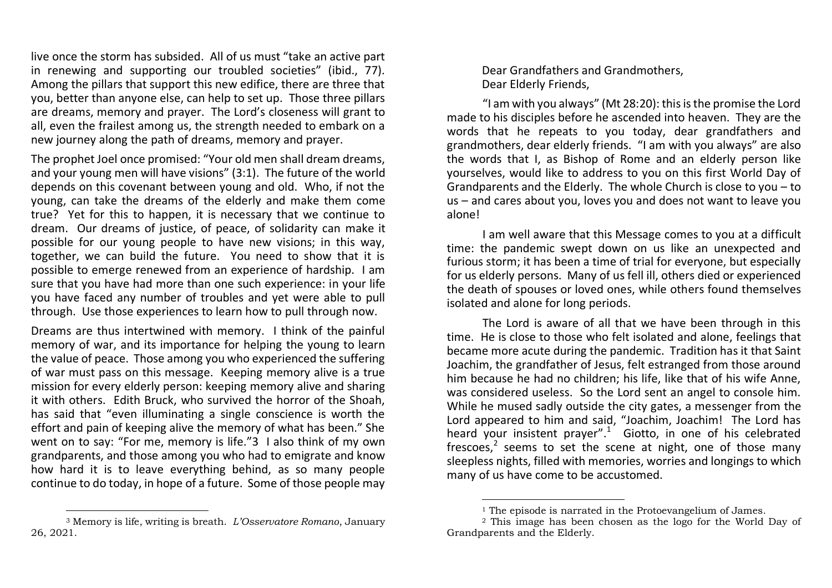live once the storm has subsided. All of us must "take an active part in renewing and supporting our troubled societies" (ibid., 77). Among the pillars that support this new edifice, there are three that you, better than anyone else, can help to set up. Those three pillars are dreams, memory and prayer. The Lord's closeness will grant to all, even the frailest among us, the strength needed to embark on a new journey along the path of dreams, memory and prayer.

The prophet Joel once promised: "Your old men shall dream dreams, and your young men will have visions" (3:1). The future of the world depends on this covenant between young and old. Who, if not the young, can take the dreams of the elderly and make them come true? Yet for this to happen, it is necessary that we continue to dream. Our dreams of justice, of peace, of solidarity can make it possible for our young people to have new visions; in this way, together, we can build the future. You need to show that it is possible to emerge renewed from an experience of hardship. I am sure that you have had more than one such experience: in your life you have faced any number of troubles and yet were able to pull through. Use those experiences to learn how to pull through now.

Dreams are thus intertwined with memory. I think of the painful memory of war, and its importance for helping the young to learn the value of peace. Those among you who experienced the suffering of war must pass on this message. Keeping memory alive is a true mission for every elderly person: keeping memory alive and sharing it with others. Edith Bruck, who survived the horror of the Shoah, has said that "even illuminating a single conscience is worth the effort and pain of keeping alive the memory of what has been." She went on to say: "For me, memory is life."3 I also think of my own grandparents, and those among you who had to emigrate and know how hard it is to leave everything behind, as so many people continue to do today, in hope of a future. Some of those people may

<sup>3</sup> Memory is life, writing is breath. *L'Osservatore Romano*, January 26, 2021.

Dear Grandfathers and Grandmothers, Dear Elderly Friends,

"I am with you always" (Mt 28:20): this is the promise the Lord made to his disciples before he ascended into heaven. They are the words that he repeats to you today, dear grandfathers and grandmothers, dear elderly friends. "I am with you always" are also the words that I, as Bishop of Rome and an elderly person like yourselves, would like to address to you on this first World Day of Grandparents and the Elderly. The whole Church is close to you – to us – and cares about you, loves you and does not want to leave you alone!

I am well aware that this Message comes to you at a difficult time: the pandemic swept down on us like an unexpected and furious storm; it has been a time of trial for everyone, but especially for us elderly persons. Many of us fell ill, others died or experienced the death of spouses or loved ones, while others found themselves isolated and alone for long periods.

The Lord is aware of all that we have been through in this time. He is close to those who felt isolated and alone, feelings that became more acute during the pandemic. Tradition has it that Saint Joachim, the grandfather of Jesus, felt estranged from those around him because he had no children; his life, like that of his wife Anne, was considered useless. So the Lord sent an angel to console him. While he mused sadly outside the city gates, a messenger from the Lord appeared to him and said, "Joachim, Joachim! The Lord has heard your insistent prayer".<sup>1</sup> Giotto, in one of his celebrated frescoes, $2$  seems to set the scene at night, one of those many sleepless nights, filled with memories, worries and longings to which many of us have come to be accustomed.

<sup>&</sup>lt;sup>1</sup> The episode is narrated in the Protoevangelium of James.

<sup>&</sup>lt;sup>2</sup> This image has been chosen as the logo for the World Day of Grandparents and the Elderly.